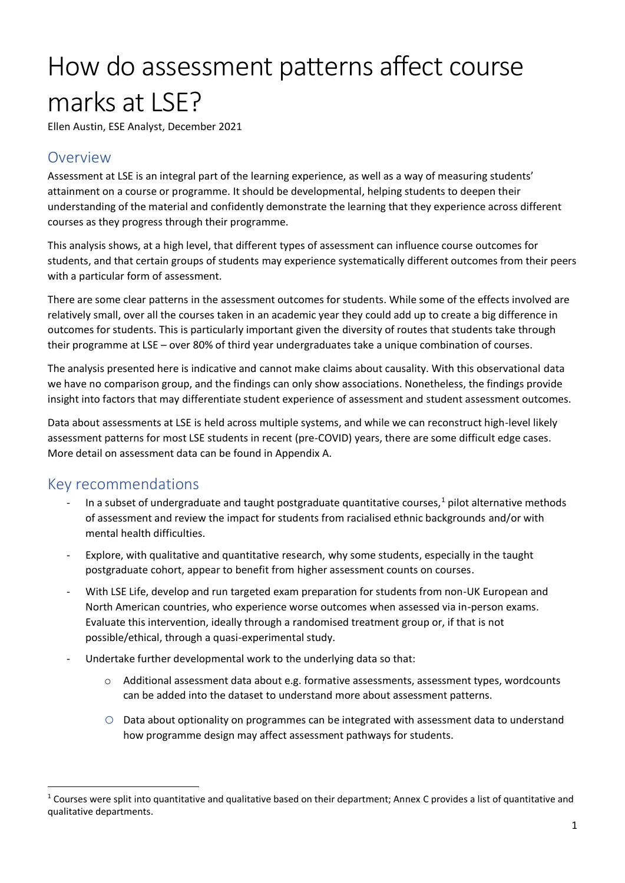# How do assessment patterns affect course marks at LSE?

Ellen Austin, ESE Analyst, December 2021

### Overview

Assessment at LSE is an integral part of the learning experience, as well as a way of measuring students' attainment on a course or programme. It should be developmental, helping students to deepen their understanding of the material and confidently demonstrate the learning that they experience across different courses as they progress through their programme.

This analysis shows, at a high level, that different types of assessment can influence course outcomes for students, and that certain groups of students may experience systematically different outcomes from their peers with a particular form of assessment.

There are some clear patterns in the assessment outcomes for students. While some of the effects involved are relatively small, over all the courses taken in an academic year they could add up to create a big difference in outcomes for students. This is particularly important given the diversity of routes that students take through their programme at LSE – over 80% of third year undergraduates take a unique combination of courses.

The analysis presented here is indicative and cannot make claims about causality. With this observational data we have no comparison group, and the findings can only show associations. Nonetheless, the findings provide insight into factors that may differentiate student experience of assessment and student assessment outcomes.

Data about assessments at LSE is held across multiple systems, and while we can reconstruct high-level likely assessment patterns for most LSE students in recent (pre-COVID) years, there are some difficult edge cases. More detail on assessment data can be found in Appendix A.

### Key recommendations

- In a subset of undergraduate and taught postgraduate quantitative courses, $1$  pilot alternative methods of assessment and review the impact for students from racialised ethnic backgrounds and/or with mental health difficulties.
- Explore, with qualitative and quantitative research, why some students, especially in the taught postgraduate cohort, appear to benefit from higher assessment counts on courses.
- With LSE Life, develop and run targeted exam preparation for students from non-UK European and North American countries, who experience worse outcomes when assessed via in-person exams. Evaluate this intervention, ideally through a randomised treatment group or, if that is not possible/ethical, through a quasi-experimental study.
- Undertake further developmental work to the underlying data so that:
	- o Additional assessment data about e.g. formative assessments, assessment types, wordcounts can be added into the dataset to understand more about assessment patterns.
	- $\circ$  Data about optionality on programmes can be integrated with assessment data to understand how programme design may affect assessment pathways for students.

 $1$  Courses were split into quantitative and qualitative based on their department; Annex C provides a list of quantitative and qualitative departments.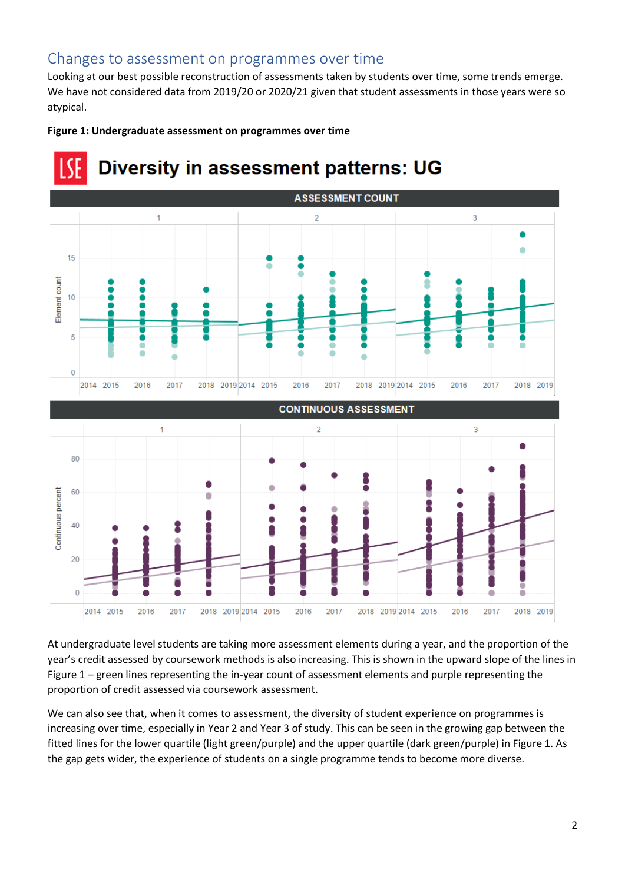### Changes to assessment on programmes over time

Looking at our best possible reconstruction of assessments taken by students over time, some trends emerge. We have not considered data from 2019/20 or 2020/21 given that student assessments in those years were so atypical.





## **Diversity in assessment patterns: UG**

At undergraduate level students are taking more assessment elements during a year, and the proportion of the year's credit assessed by coursework methods is also increasing. This is shown in the upward slope of the lines in Figure 1 – green lines representing the in-year count of assessment elements and purple representing the proportion of credit assessed via coursework assessment.

We can also see that, when it comes to assessment, the diversity of student experience on programmes is increasing over time, especially in Year 2 and Year 3 of study. This can be seen in the growing gap between the fitted lines for the lower quartile (light green/purple) and the upper quartile (dark green/purple) in Figure 1. As the gap gets wider, the experience of students on a single programme tends to become more diverse.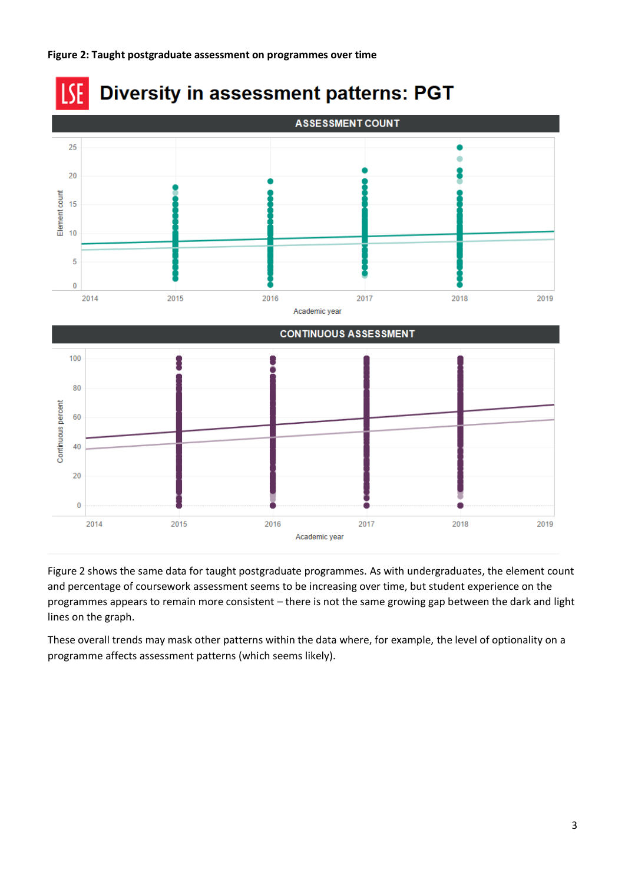#### **Figure 2: Taught postgraduate assessment on programmes over time**



Figure 2 shows the same data for taught postgraduate programmes. As with undergraduates, the element count and percentage of coursework assessment seems to be increasing over time, but student experience on the programmes appears to remain more consistent – there is not the same growing gap between the dark and light lines on the graph.

These overall trends may mask other patterns within the data where, for example, the level of optionality on a programme affects assessment patterns (which seems likely).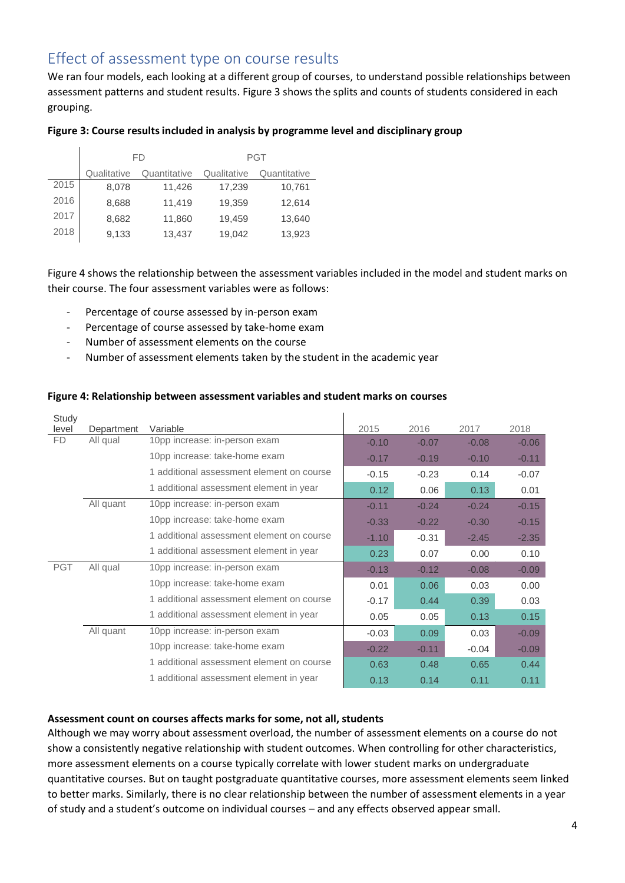### Effect of assessment type on course results

We ran four models, each looking at a different group of courses, to understand possible relationships between assessment patterns and student results. Figure 3 shows the splits and counts of students considered in each grouping.

#### **Figure 3: Course results included in analysis by programme level and disciplinary group**

|      | FD          |              | <b>PGT</b>  |              |  |
|------|-------------|--------------|-------------|--------------|--|
|      | Qualitative | Quantitative | Qualitative | Quantitative |  |
| 2015 | 8,078       | 11,426       | 17,239      | 10,761       |  |
| 2016 | 8,688       | 11,419       | 19,359      | 12,614       |  |
| 2017 | 8,682       | 11,860       | 19,459      | 13,640       |  |
| 2018 | 9,133       | 13,437       | 19,042      | 13,923       |  |

Figure 4 shows the relationship between the assessment variables included in the model and student marks on their course. The four assessment variables were as follows:

- Percentage of course assessed by in-person exam
- Percentage of course assessed by take-home exam
- Number of assessment elements on the course
- Number of assessment elements taken by the student in the academic year

#### **Figure 4: Relationship between assessment variables and student marks on courses**

| Study      |            |                                           |         |         |         |         |
|------------|------------|-------------------------------------------|---------|---------|---------|---------|
| level      | Department | Variable                                  | 2015    | 2016    | 2017    | 2018    |
| FD.        | All qual   | 10pp increase: in-person exam             | $-0.10$ | $-0.07$ | $-0.08$ | $-0.06$ |
|            |            | 10pp increase: take-home exam             | $-0.17$ | $-0.19$ | $-0.10$ | $-0.11$ |
|            |            | 1 additional assessment element on course | $-0.15$ | $-0.23$ | 0.14    | $-0.07$ |
|            |            | 1 additional assessment element in year   | 0.12    | 0.06    | 0.13    | 0.01    |
|            | All quant  | 10pp increase: in-person exam             | $-0.11$ | $-0.24$ | $-0.24$ | $-0.15$ |
|            |            | 10pp increase: take-home exam             | $-0.33$ | $-0.22$ | $-0.30$ | $-0.15$ |
|            |            | 1 additional assessment element on course | $-1.10$ | $-0.31$ | $-2.45$ | $-2.35$ |
|            |            | 1 additional assessment element in year   | 0.23    | 0.07    | 0.00    | 0.10    |
| <b>PGT</b> | All qual   | 10pp increase: in-person exam             | $-0.13$ | $-0.12$ | $-0.08$ | $-0.09$ |
|            |            | 10pp increase: take-home exam             | 0.01    | 0.06    | 0.03    | 0.00    |
|            |            | 1 additional assessment element on course | $-0.17$ | 0.44    | 0.39    | 0.03    |
|            |            | 1 additional assessment element in year   | 0.05    | 0.05    | 0.13    | 0.15    |
|            | All quant  | 10pp increase: in-person exam             | $-0.03$ | 0.09    | 0.03    | $-0.09$ |
|            |            | 10pp increase: take-home exam             | $-0.22$ | $-0.11$ | $-0.04$ | $-0.09$ |
|            |            | 1 additional assessment element on course | 0.63    | 0.48    | 0.65    | 0.44    |
|            |            | 1 additional assessment element in year   | 0.13    | 0.14    | 0.11    | 0.11    |

#### **Assessment count on courses affects marks for some, not all, students**

Although we may worry about assessment overload, the number of assessment elements on a course do not show a consistently negative relationship with student outcomes. When controlling for other characteristics, more assessment elements on a course typically correlate with lower student marks on undergraduate quantitative courses. But on taught postgraduate quantitative courses, more assessment elements seem linked to better marks. Similarly, there is no clear relationship between the number of assessment elements in a year of study and a student's outcome on individual courses – and any effects observed appear small.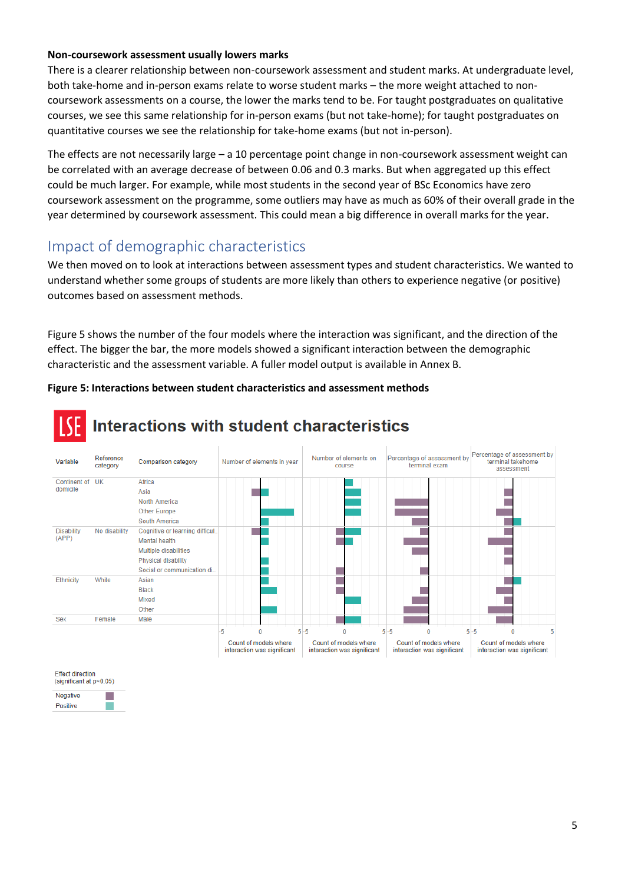#### **Non-coursework assessment usually lowers marks**

There is a clearer relationship between non-coursework assessment and student marks. At undergraduate level, both take-home and in-person exams relate to worse student marks – the more weight attached to noncoursework assessments on a course, the lower the marks tend to be. For taught postgraduates on qualitative courses, we see this same relationship for in-person exams (but not take-home); for taught postgraduates on quantitative courses we see the relationship for take-home exams (but not in-person).

The effects are not necessarily large – a 10 percentage point change in non-coursework assessment weight can be correlated with an average decrease of between 0.06 and 0.3 marks. But when aggregated up this effect could be much larger. For example, while most students in the second year of BSc Economics have zero coursework assessment on the programme, some outliers may have as much as 60% of their overall grade in the year determined by coursework assessment. This could mean a big difference in overall marks for the year.

### Impact of demographic characteristics

We then moved on to look at interactions between assessment types and student characteristics. We wanted to understand whether some groups of students are more likely than others to experience negative (or positive) outcomes based on assessment methods.

Figure 5 shows the number of the four models where the interaction was significant, and the direction of the effect. The bigger the bar, the more models showed a significant interaction between the demographic characteristic and the assessment variable. A fuller model output is available in Annex B.

#### **Figure 5: Interactions between student characteristics and assessment methods**



### Interactions with student characteristics

| <b>Effect direction</b><br>(significant at $p<0.05$ ) |  |
|-------------------------------------------------------|--|
| <b>Negative</b>                                       |  |
| Positive                                              |  |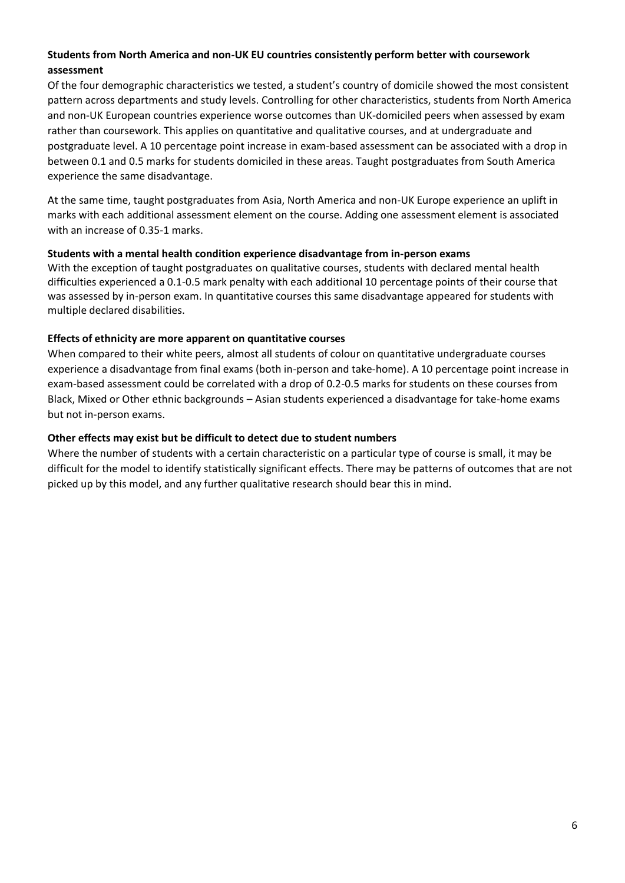#### **Students from North America and non-UK EU countries consistently perform better with coursework assessment**

Of the four demographic characteristics we tested, a student's country of domicile showed the most consistent pattern across departments and study levels. Controlling for other characteristics, students from North America and non-UK European countries experience worse outcomes than UK-domiciled peers when assessed by exam rather than coursework. This applies on quantitative and qualitative courses, and at undergraduate and postgraduate level. A 10 percentage point increase in exam-based assessment can be associated with a drop in between 0.1 and 0.5 marks for students domiciled in these areas. Taught postgraduates from South America experience the same disadvantage.

At the same time, taught postgraduates from Asia, North America and non-UK Europe experience an uplift in marks with each additional assessment element on the course. Adding one assessment element is associated with an increase of 0.35-1 marks.

#### **Students with a mental health condition experience disadvantage from in-person exams**

With the exception of taught postgraduates on qualitative courses, students with declared mental health difficulties experienced a 0.1-0.5 mark penalty with each additional 10 percentage points of their course that was assessed by in-person exam. In quantitative courses this same disadvantage appeared for students with multiple declared disabilities.

#### **Effects of ethnicity are more apparent on quantitative courses**

When compared to their white peers, almost all students of colour on quantitative undergraduate courses experience a disadvantage from final exams (both in-person and take-home). A 10 percentage point increase in exam-based assessment could be correlated with a drop of 0.2-0.5 marks for students on these courses from Black, Mixed or Other ethnic backgrounds – Asian students experienced a disadvantage for take-home exams but not in-person exams.

#### **Other effects may exist but be difficult to detect due to student numbers**

Where the number of students with a certain characteristic on a particular type of course is small, it may be difficult for the model to identify statistically significant effects. There may be patterns of outcomes that are not picked up by this model, and any further qualitative research should bear this in mind.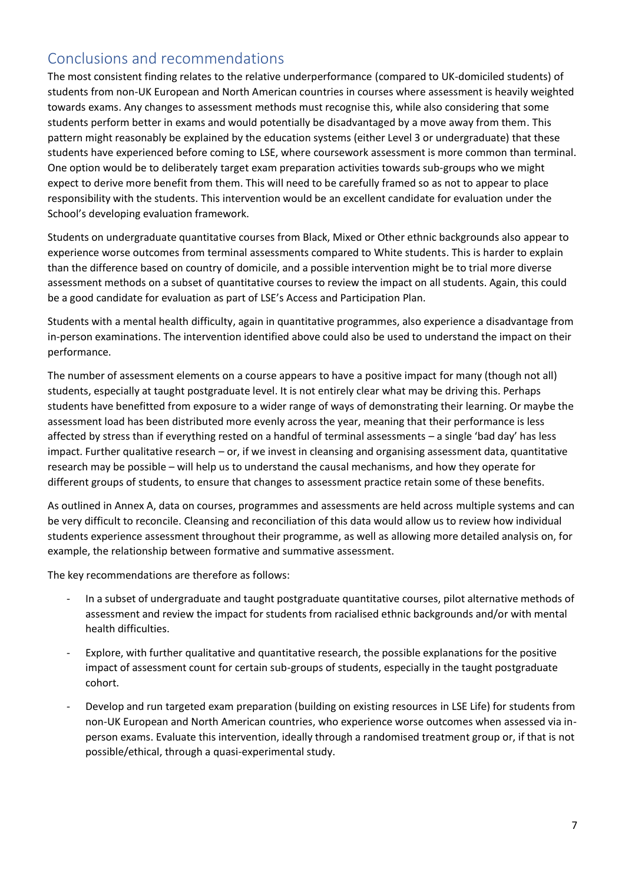### Conclusions and recommendations

The most consistent finding relates to the relative underperformance (compared to UK-domiciled students) of students from non-UK European and North American countries in courses where assessment is heavily weighted towards exams. Any changes to assessment methods must recognise this, while also considering that some students perform better in exams and would potentially be disadvantaged by a move away from them. This pattern might reasonably be explained by the education systems (either Level 3 or undergraduate) that these students have experienced before coming to LSE, where coursework assessment is more common than terminal. One option would be to deliberately target exam preparation activities towards sub-groups who we might expect to derive more benefit from them. This will need to be carefully framed so as not to appear to place responsibility with the students. This intervention would be an excellent candidate for evaluation under the School's developing evaluation framework.

Students on undergraduate quantitative courses from Black, Mixed or Other ethnic backgrounds also appear to experience worse outcomes from terminal assessments compared to White students. This is harder to explain than the difference based on country of domicile, and a possible intervention might be to trial more diverse assessment methods on a subset of quantitative courses to review the impact on all students. Again, this could be a good candidate for evaluation as part of LSE's Access and Participation Plan.

Students with a mental health difficulty, again in quantitative programmes, also experience a disadvantage from in-person examinations. The intervention identified above could also be used to understand the impact on their performance.

The number of assessment elements on a course appears to have a positive impact for many (though not all) students, especially at taught postgraduate level. It is not entirely clear what may be driving this. Perhaps students have benefitted from exposure to a wider range of ways of demonstrating their learning. Or maybe the assessment load has been distributed more evenly across the year, meaning that their performance is less affected by stress than if everything rested on a handful of terminal assessments – a single 'bad day' has less impact. Further qualitative research – or, if we invest in cleansing and organising assessment data, quantitative research may be possible – will help us to understand the causal mechanisms, and how they operate for different groups of students, to ensure that changes to assessment practice retain some of these benefits.

As outlined in Annex A, data on courses, programmes and assessments are held across multiple systems and can be very difficult to reconcile. Cleansing and reconciliation of this data would allow us to review how individual students experience assessment throughout their programme, as well as allowing more detailed analysis on, for example, the relationship between formative and summative assessment.

The key recommendations are therefore as follows:

- In a subset of undergraduate and taught postgraduate quantitative courses, pilot alternative methods of assessment and review the impact for students from racialised ethnic backgrounds and/or with mental health difficulties.
- Explore, with further qualitative and quantitative research, the possible explanations for the positive impact of assessment count for certain sub-groups of students, especially in the taught postgraduate cohort.
- Develop and run targeted exam preparation (building on existing resources in LSE Life) for students from non-UK European and North American countries, who experience worse outcomes when assessed via inperson exams. Evaluate this intervention, ideally through a randomised treatment group or, if that is not possible/ethical, through a quasi-experimental study.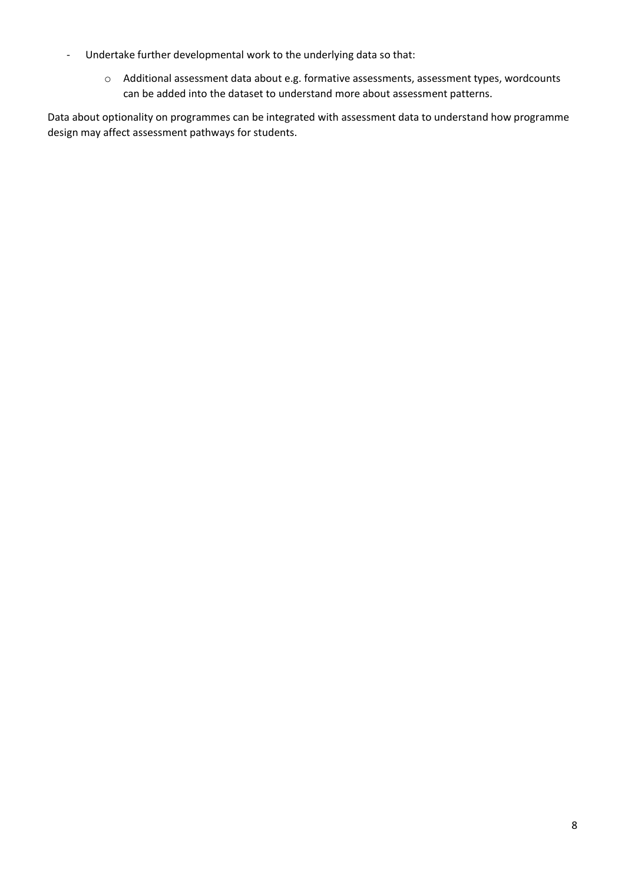- Undertake further developmental work to the underlying data so that:
	- o Additional assessment data about e.g. formative assessments, assessment types, wordcounts can be added into the dataset to understand more about assessment patterns.

Data about optionality on programmes can be integrated with assessment data to understand how programme design may affect assessment pathways for students.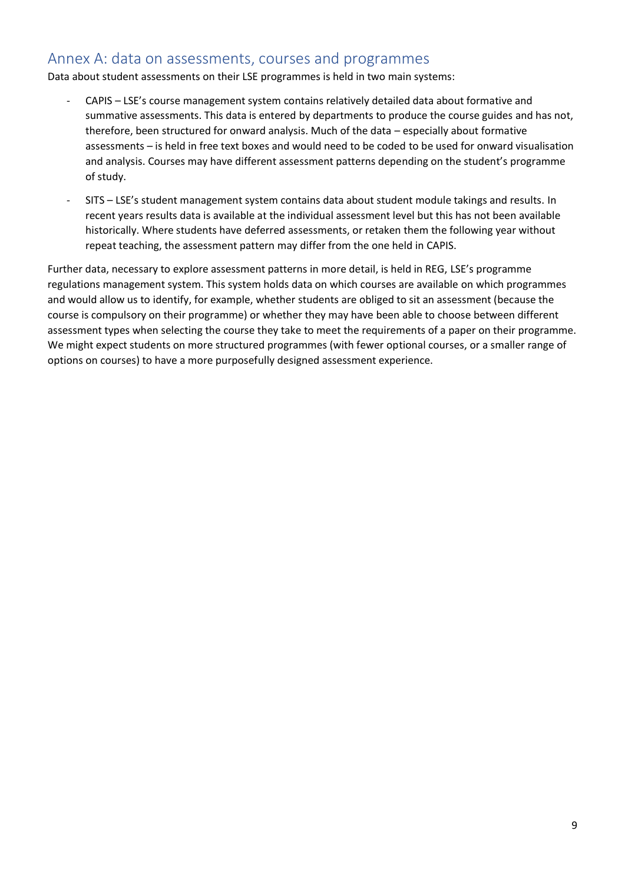### Annex A: data on assessments, courses and programmes

Data about student assessments on their LSE programmes is held in two main systems:

- CAPIS LSE's course management system contains relatively detailed data about formative and summative assessments. This data is entered by departments to produce the course guides and has not, therefore, been structured for onward analysis. Much of the data – especially about formative assessments – is held in free text boxes and would need to be coded to be used for onward visualisation and analysis. Courses may have different assessment patterns depending on the student's programme of study.
- SITS LSE's student management system contains data about student module takings and results. In recent years results data is available at the individual assessment level but this has not been available historically. Where students have deferred assessments, or retaken them the following year without repeat teaching, the assessment pattern may differ from the one held in CAPIS.

Further data, necessary to explore assessment patterns in more detail, is held in REG, LSE's programme regulations management system. This system holds data on which courses are available on which programmes and would allow us to identify, for example, whether students are obliged to sit an assessment (because the course is compulsory on their programme) or whether they may have been able to choose between different assessment types when selecting the course they take to meet the requirements of a paper on their programme. We might expect students on more structured programmes (with fewer optional courses, or a smaller range of options on courses) to have a more purposefully designed assessment experience.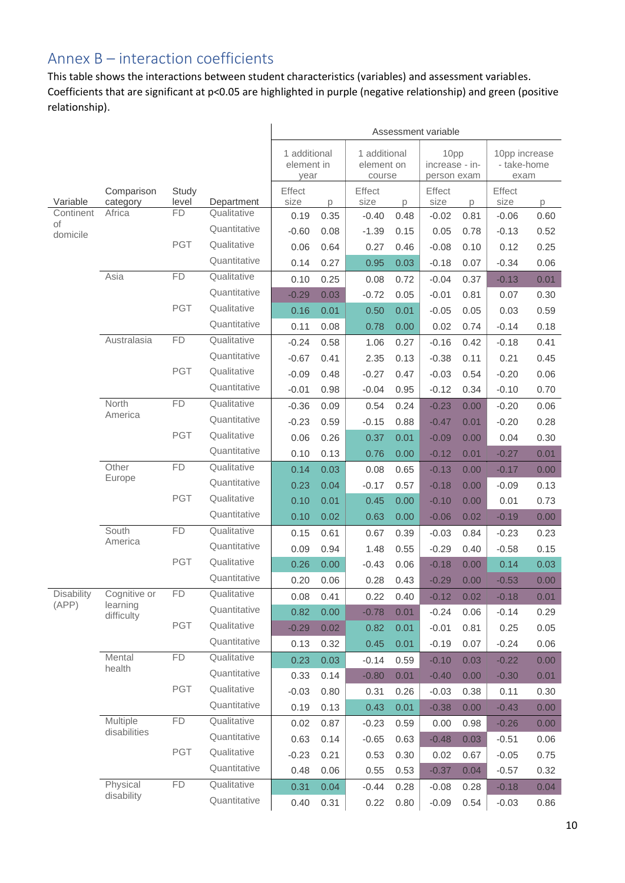### Annex B – interaction coefficients

This table shows the interactions between student characteristics (variables) and assessment variables. Coefficients that are significant at p<0.05 are highlighted in purple (negative relationship) and green (positive relationship).

|                   |                        |                |              | Assessment variable                                                        |      |                |                                       |                |                                      |                |      |
|-------------------|------------------------|----------------|--------------|----------------------------------------------------------------------------|------|----------------|---------------------------------------|----------------|--------------------------------------|----------------|------|
|                   |                        |                |              | 1 additional<br>1 additional<br>element in<br>element on<br>year<br>course |      |                | 10pp<br>increase - in-<br>person exam |                | 10pp increase<br>- take-home<br>exam |                |      |
| Variable          | Comparison<br>category | Study<br>level | Department   | Effect<br>size                                                             | p    | Effect<br>size | p                                     | Effect<br>size | p                                    | Effect<br>size | D.   |
| Continent         | Africa                 | <b>FD</b>      | Qualitative  | 0.19                                                                       | 0.35 | $-0.40$        | 0.48                                  | $-0.02$        | 0.81                                 | $-0.06$        | 0.60 |
| of<br>domicile    |                        |                | Quantitative | $-0.60$                                                                    | 0.08 | $-1.39$        | 0.15                                  | 0.05           | 0.78                                 | $-0.13$        | 0.52 |
|                   |                        | <b>PGT</b>     | Qualitative  | 0.06                                                                       | 0.64 | 0.27           | 0.46                                  | $-0.08$        | 0.10                                 | 0.12           | 0.25 |
|                   |                        |                | Quantitative | 0.14                                                                       | 0.27 | 0.95           | 0.03                                  | $-0.18$        | 0.07                                 | $-0.34$        | 0.06 |
|                   | Asia                   | <b>FD</b>      | Qualitative  | 0.10                                                                       | 0.25 | 0.08           | 0.72                                  | $-0.04$        | 0.37                                 | $-0.13$        | 0.01 |
|                   |                        |                | Quantitative | $-0.29$                                                                    | 0.03 | $-0.72$        | 0.05                                  | $-0.01$        | 0.81                                 | 0.07           | 0.30 |
|                   |                        | <b>PGT</b>     | Qualitative  | 0.16                                                                       | 0.01 | 0.50           | 0.01                                  | $-0.05$        | 0.05                                 | 0.03           | 0.59 |
|                   |                        |                | Quantitative | 0.11                                                                       | 0.08 | 0.78           | 0.00                                  | 0.02           | 0.74                                 | $-0.14$        | 0.18 |
|                   | Australasia            | <b>FD</b>      | Qualitative  | $-0.24$                                                                    | 0.58 | 1.06           | 0.27                                  | $-0.16$        | 0.42                                 | $-0.18$        | 0.41 |
|                   |                        |                | Quantitative | $-0.67$                                                                    | 0.41 | 2.35           | 0.13                                  | $-0.38$        | 0.11                                 | 0.21           | 0.45 |
|                   |                        | <b>PGT</b>     | Qualitative  | $-0.09$                                                                    | 0.48 | $-0.27$        | 0.47                                  | $-0.03$        | 0.54                                 | $-0.20$        | 0.06 |
|                   |                        |                | Quantitative | $-0.01$                                                                    | 0.98 | $-0.04$        | 0.95                                  | $-0.12$        | 0.34                                 | $-0.10$        | 0.70 |
|                   | North                  | <b>FD</b>      | Qualitative  | $-0.36$                                                                    | 0.09 | 0.54           | 0.24                                  | $-0.23$        | 0.00                                 | $-0.20$        | 0.06 |
|                   | America                |                | Quantitative | $-0.23$                                                                    | 0.59 | $-0.15$        | 0.88                                  | $-0.47$        | 0.01                                 | $-0.20$        | 0.28 |
|                   |                        | <b>PGT</b>     | Qualitative  | 0.06                                                                       | 0.26 | 0.37           | 0.01                                  | $-0.09$        | 0.00                                 | 0.04           | 0.30 |
|                   |                        |                | Quantitative | 0.10                                                                       | 0.13 | 0.76           | 0.00                                  | $-0.12$        | 0.01                                 | $-0.27$        | 0.01 |
|                   | Other                  | <b>FD</b>      | Qualitative  | 0.14                                                                       | 0.03 | 0.08           | 0.65                                  | $-0.13$        | 0.00                                 | $-0.17$        | 0.00 |
|                   | Europe                 |                | Quantitative | 0.23                                                                       | 0.04 | $-0.17$        | 0.57                                  | $-0.18$        | 0.00                                 | $-0.09$        | 0.13 |
|                   |                        | <b>PGT</b>     | Qualitative  | 0.10                                                                       | 0.01 | 0.45           | 0.00                                  | $-0.10$        | 0.00                                 | 0.01           | 0.73 |
|                   |                        |                | Quantitative | 0.10                                                                       | 0.02 | 0.63           | 0.00                                  | $-0.06$        | 0.02                                 | $-0.19$        | 0.00 |
|                   | South                  | <b>FD</b>      | Qualitative  | 0.15                                                                       | 0.61 | 0.67           | 0.39                                  | $-0.03$        | 0.84                                 | $-0.23$        | 0.23 |
|                   | America                |                | Quantitative | 0.09                                                                       | 0.94 | 1.48           | 0.55                                  | $-0.29$        | 0.40                                 | $-0.58$        | 0.15 |
|                   |                        | <b>PGT</b>     | Qualitative  | 0.26                                                                       | 0.00 | $-0.43$        | 0.06                                  | $-0.18$        | 0.00                                 | 0.14           | 0.03 |
|                   |                        |                | Quantitative | 0.20                                                                       | 0.06 | 0.28           | 0.43                                  | $-0.29$        | 0.00                                 | $-0.53$        | 0.00 |
| <b>Disability</b> | Cognitive or           | FD             | Qualitative  | 0.08                                                                       | 0.41 | 0.22           | 0.40                                  | $-0.12$        | 0.02                                 | $-0.18$        | 0.01 |
| (APP)             | learning<br>difficulty |                | Quantitative | 0.82                                                                       | 0.00 | $-0.78$        | 0.01                                  | $-0.24$        | 0.06                                 | $-0.14$        | 0.29 |
|                   |                        | PGT            | Qualitative  | $-0.29$                                                                    | 0.02 | 0.82           | 0.01                                  | $-0.01$        | 0.81                                 | 0.25           | 0.05 |
|                   |                        |                | Quantitative | 0.13                                                                       | 0.32 | 0.45           | 0.01                                  | $-0.19$        | 0.07                                 | $-0.24$        | 0.06 |
|                   | Mental                 | <b>FD</b>      | Qualitative  | 0.23                                                                       | 0.03 | $-0.14$        | 0.59                                  | $-0.10$        | 0.03                                 | $-0.22$        | 0.00 |
|                   | health                 |                | Quantitative | 0.33                                                                       | 0.14 | $-0.80$        | 0.01                                  | $-0.40$        | 0.00                                 | $-0.30$        | 0.01 |
|                   |                        | PGT            | Qualitative  | $-0.03$                                                                    | 0.80 | 0.31           | 0.26                                  | $-0.03$        | 0.38                                 | 0.11           | 0.30 |
|                   |                        |                | Quantitative | 0.19                                                                       | 0.13 | 0.43           | 0.01                                  | $-0.38$        | 0.00                                 | $-0.43$        | 0.00 |
|                   | Multiple               | FD             | Qualitative  | 0.02                                                                       | 0.87 | $-0.23$        | 0.59                                  | 0.00           | 0.98                                 | $-0.26$        | 0.00 |
|                   | disabilities           |                | Quantitative | 0.63                                                                       | 0.14 | $-0.65$        | 0.63                                  | $-0.48$        | 0.03                                 | $-0.51$        | 0.06 |
|                   |                        | PGT            | Qualitative  | $-0.23$                                                                    | 0.21 | 0.53           | 0.30                                  | 0.02           | 0.67                                 | $-0.05$        | 0.75 |
|                   |                        |                | Quantitative | 0.48                                                                       | 0.06 | 0.55           | 0.53                                  | $-0.37$        | 0.04                                 | $-0.57$        | 0.32 |
|                   | Physical               | FD             | Qualitative  | 0.31                                                                       | 0.04 | $-0.44$        | 0.28                                  | $-0.08$        | 0.28                                 | $-0.18$        | 0.04 |
|                   | disability             |                | Quantitative | 0.40                                                                       | 0.31 | 0.22           | 0.80                                  | $-0.09$        | 0.54                                 | $-0.03$        | 0.86 |
|                   |                        |                |              |                                                                            |      |                |                                       |                |                                      |                |      |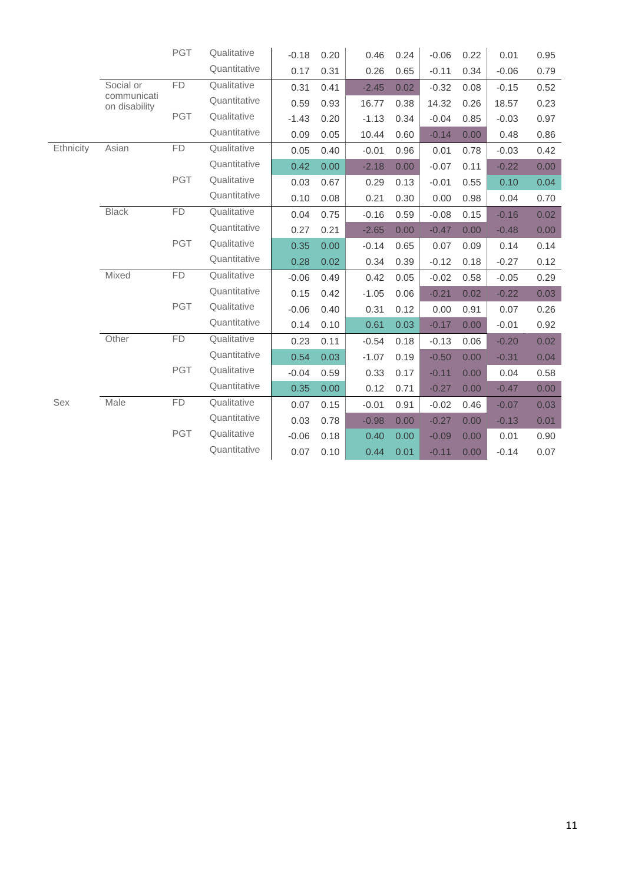|           |                              | PGT        | Qualitative  | $-0.18$ | 0.20 | 0.46    | 0.24 | $-0.06$ | 0.22 | 0.01    | 0.95 |
|-----------|------------------------------|------------|--------------|---------|------|---------|------|---------|------|---------|------|
|           |                              |            | Quantitative | 0.17    | 0.31 | 0.26    | 0.65 | $-0.11$ | 0.34 | $-0.06$ | 0.79 |
|           | Social or                    | FD         | Qualitative  | 0.31    | 0.41 | $-2.45$ | 0.02 | $-0.32$ | 0.08 | $-0.15$ | 0.52 |
|           | communicati<br>on disability |            | Quantitative | 0.59    | 0.93 | 16.77   | 0.38 | 14.32   | 0.26 | 18.57   | 0.23 |
|           |                              | PGT        | Qualitative  | $-1.43$ | 0.20 | $-1.13$ | 0.34 | $-0.04$ | 0.85 | $-0.03$ | 0.97 |
|           |                              |            | Quantitative | 0.09    | 0.05 | 10.44   | 0.60 | $-0.14$ | 0.00 | 0.48    | 0.86 |
| Ethnicity | Asian                        | <b>FD</b>  | Qualitative  | 0.05    | 0.40 | $-0.01$ | 0.96 | 0.01    | 0.78 | $-0.03$ | 0.42 |
|           |                              |            | Quantitative | 0.42    | 0.00 | $-2.18$ | 0.00 | $-0.07$ | 0.11 | $-0.22$ | 0.00 |
|           |                              | PGT        | Qualitative  | 0.03    | 0.67 | 0.29    | 0.13 | $-0.01$ | 0.55 | 0.10    | 0.04 |
|           |                              |            | Quantitative | 0.10    | 0.08 | 0.21    | 0.30 | 0.00    | 0.98 | 0.04    | 0.70 |
|           | <b>Black</b>                 | FD         | Qualitative  | 0.04    | 0.75 | $-0.16$ | 0.59 | $-0.08$ | 0.15 | $-0.16$ | 0.02 |
|           |                              |            | Quantitative | 0.27    | 0.21 | $-2.65$ | 0.00 | $-0.47$ | 0.00 | $-0.48$ | 0.00 |
|           |                              | <b>PGT</b> | Qualitative  | 0.35    | 0.00 | $-0.14$ | 0.65 | 0.07    | 0.09 | 0.14    | 0.14 |
|           |                              |            | Quantitative | 0.28    | 0.02 | 0.34    | 0.39 | $-0.12$ | 0.18 | $-0.27$ | 0.12 |
|           | Mixed                        | <b>FD</b>  | Qualitative  | $-0.06$ | 0.49 | 0.42    | 0.05 | $-0.02$ | 0.58 | $-0.05$ | 0.29 |
|           |                              |            | Quantitative | 0.15    | 0.42 | $-1.05$ | 0.06 | $-0.21$ | 0.02 | $-0.22$ | 0.03 |
|           |                              | <b>PGT</b> | Qualitative  | $-0.06$ | 0.40 | 0.31    | 0.12 | 0.00    | 0.91 | 0.07    | 0.26 |
|           |                              |            | Quantitative | 0.14    | 0.10 | 0.61    | 0.03 | $-0.17$ | 0.00 | $-0.01$ | 0.92 |
|           | Other                        | FD         | Qualitative  | 0.23    | 0.11 | $-0.54$ | 0.18 | $-0.13$ | 0.06 | $-0.20$ | 0.02 |
|           |                              |            | Quantitative | 0.54    | 0.03 | $-1.07$ | 0.19 | $-0.50$ | 0.00 | $-0.31$ | 0.04 |
|           |                              | <b>PGT</b> | Qualitative  | $-0.04$ | 0.59 | 0.33    | 0.17 | $-0.11$ | 0.00 | 0.04    | 0.58 |
|           |                              |            | Quantitative | 0.35    | 0.00 | 0.12    | 0.71 | $-0.27$ | 0.00 | $-0.47$ | 0.00 |
| Sex       | Male                         | FD         | Qualitative  | 0.07    | 0.15 | $-0.01$ | 0.91 | $-0.02$ | 0.46 | $-0.07$ | 0.03 |
|           |                              |            | Quantitative | 0.03    | 0.78 | $-0.98$ | 0.00 | $-0.27$ | 0.00 | $-0.13$ | 0.01 |
|           |                              | <b>PGT</b> | Qualitative  | $-0.06$ | 0.18 | 0.40    | 0.00 | $-0.09$ | 0.00 | 0.01    | 0.90 |
|           |                              |            | Quantitative | 0.07    | 0.10 | 0.44    | 0.01 | $-0.11$ | 0.00 | $-0.14$ | 0.07 |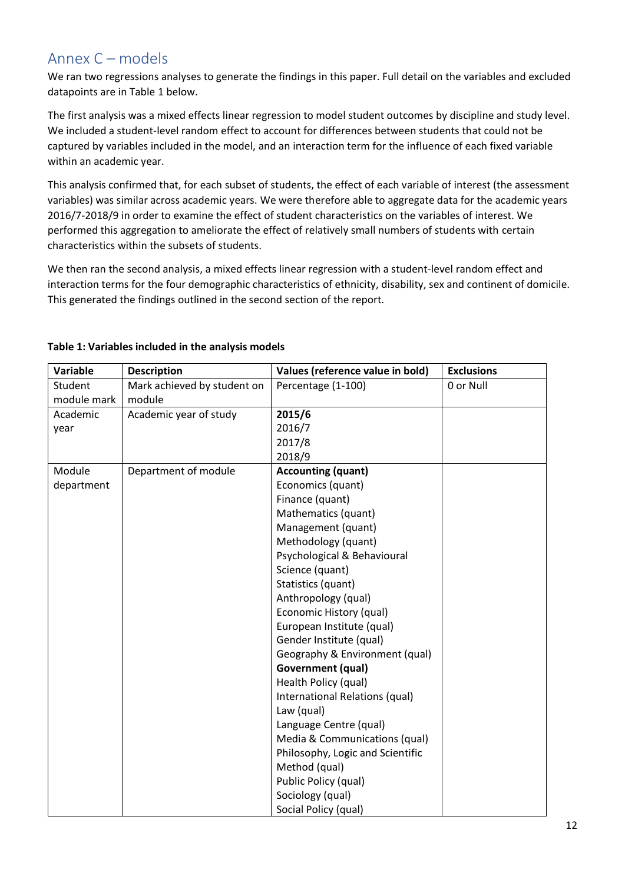### Annex C – models

We ran two regressions analyses to generate the findings in this paper. Full detail on the variables and excluded datapoints are in Table 1 below.

The first analysis was a mixed effects linear regression to model student outcomes by discipline and study level. We included a student-level random effect to account for differences between students that could not be captured by variables included in the model, and an interaction term for the influence of each fixed variable within an academic year.

This analysis confirmed that, for each subset of students, the effect of each variable of interest (the assessment variables) was similar across academic years. We were therefore able to aggregate data for the academic years 2016/7-2018/9 in order to examine the effect of student characteristics on the variables of interest. We performed this aggregation to ameliorate the effect of relatively small numbers of students with certain characteristics within the subsets of students.

We then ran the second analysis, a mixed effects linear regression with a student-level random effect and interaction terms for the four demographic characteristics of ethnicity, disability, sex and continent of domicile. This generated the findings outlined in the second section of the report.

| Variable    | <b>Description</b>          | Values (reference value in bold) | <b>Exclusions</b> |
|-------------|-----------------------------|----------------------------------|-------------------|
| Student     | Mark achieved by student on | Percentage (1-100)               | 0 or Null         |
| module mark | module                      |                                  |                   |
| Academic    | Academic year of study      | 2015/6                           |                   |
| year        |                             | 2016/7                           |                   |
|             |                             | 2017/8                           |                   |
|             |                             | 2018/9                           |                   |
| Module      | Department of module        | <b>Accounting (quant)</b>        |                   |
| department  |                             | Economics (quant)                |                   |
|             |                             | Finance (quant)                  |                   |
|             |                             | Mathematics (quant)              |                   |
|             |                             | Management (quant)               |                   |
|             |                             | Methodology (quant)              |                   |
|             |                             | Psychological & Behavioural      |                   |
|             |                             | Science (quant)                  |                   |
|             |                             | Statistics (quant)               |                   |
|             |                             | Anthropology (qual)              |                   |
|             |                             | Economic History (qual)          |                   |
|             |                             | European Institute (qual)        |                   |
|             |                             | Gender Institute (qual)          |                   |
|             |                             | Geography & Environment (qual)   |                   |
|             |                             | <b>Government (qual)</b>         |                   |
|             |                             | Health Policy (qual)             |                   |
|             |                             | International Relations (qual)   |                   |
|             |                             | Law (qual)                       |                   |
|             |                             | Language Centre (qual)           |                   |
|             |                             | Media & Communications (qual)    |                   |
|             |                             | Philosophy, Logic and Scientific |                   |
|             |                             | Method (qual)                    |                   |
|             |                             | Public Policy (qual)             |                   |
|             |                             | Sociology (qual)                 |                   |
|             |                             | Social Policy (qual)             |                   |

#### **Table 1: Variables included in the analysis models**